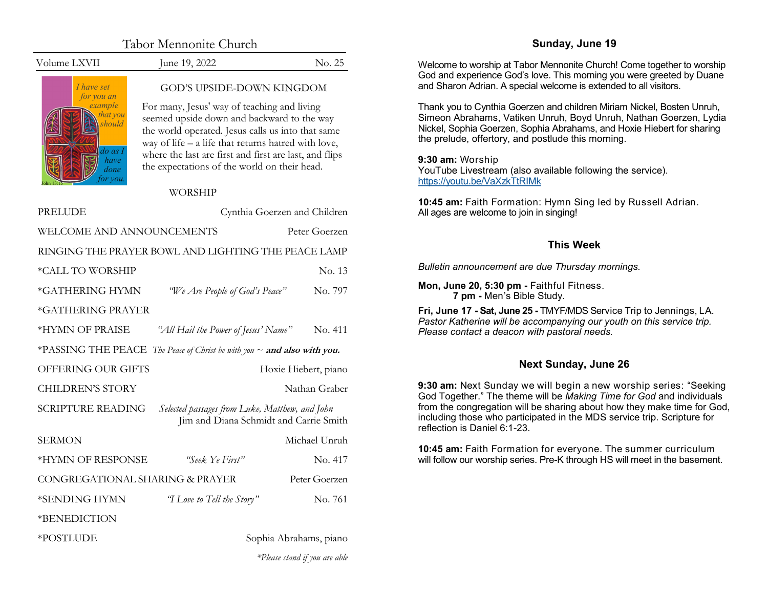| Tabor Mennonite Church |  |
|------------------------|--|
|------------------------|--|

<span id="page-0-0"></span>Volume LXVII June 19, 2022 No. 25

*I have set for you an example that you should do as I have done for you.*  John 13:15

*\*Please stand if you are able*

## GOD'S UPSIDE-DOWN KINGDOM

For many, Jesus' way of teaching and living seemed upside down and backward to the way the world operated. Jesus calls us into that same way of life  $-$  a life that returns hatred with love, where the last are first and first are last, and flips the expectations of the world on their head.

WORSHIP

| PRELUDE                         | Cynthia Goerzen and Children                                                             |               |  |
|---------------------------------|------------------------------------------------------------------------------------------|---------------|--|
| WELCOME AND ANNOUNCEMENTS       | Peter Goerzen                                                                            |               |  |
|                                 | RINGING THE PRAYER BOWL AND LIGHTING THE PEACE LAMP                                      |               |  |
| *CALL TO WORSHIP                |                                                                                          | No. 13        |  |
| *GATHERING HYMN                 | "We Are People of God's Peace"                                                           | No. 797       |  |
| *GATHERING PRAYER               |                                                                                          |               |  |
| *HYMN OF PRAISE                 | "All Hail the Power of Jesus' Name"                                                      | No. 411       |  |
|                                 | *PASSING THE PEACE The Peace of Christ be with you ~ and also with you.                  |               |  |
| <b>OFFERING OUR GIFTS</b>       | Hoxie Hiebert, piano                                                                     |               |  |
| <b>CHILDREN'S STORY</b>         | Nathan Graber                                                                            |               |  |
| <b>SCRIPTURE READING</b>        | Selected passages from Luke, Matthew, and John<br>Jim and Diana Schmidt and Carrie Smith |               |  |
| <b>SERMON</b>                   |                                                                                          | Michael Unruh |  |
| *HYMN OF RESPONSE               | "Seek Ye First"                                                                          | No. 417       |  |
| CONGREGATIONAL SHARING & PRAYER | Peter Goerzen                                                                            |               |  |
| *SENDING HYMN                   | "I Love to Tell the Story"                                                               | No. 761       |  |
| *BENEDICTION                    |                                                                                          |               |  |
| *POSTLUDE                       | Sophia Abrahams, piano                                                                   |               |  |

## **Sunday, June 19**

Welcome to worship at Tabor Mennonite Church! Come together to worship God and experience God's love. This morning you were greeted by Duane and Sharon Adrian. A special welcome is extended to all visitors.

Thank you to Cynthia Goerzen and children Miriam Nickel, Bosten Unruh, Simeon Abrahams, Vatiken Unruh, Boyd Unruh, Nathan Goerzen, Lydia Nickel, Sophia Goerzen, Sophia Abrahams, and Hoxie Hiebert for sharing the prelude, offertory, and postlude this morning.

**9:30 am:** Worship

YouTube Livestream (also available following the service). [https://youtu.be/VaXzkTtRIMk](#page-0-0)

**10:45 am:** Faith Formation: Hymn Sing led by Russell Adrian. All ages are welcome to join in singing!

# **This Week**

*Bulletin announcement are due Thursday mornings.*

**Mon, June 20, 5:30 pm -** Faithful Fitness. **7 pm -** Men's Bible Study.

**Fri, June 17 - Sat, June 25 -** TMYF/MDS Service Trip to Jennings, LA. *Pastor Katherine will be accompanying our youth on this service trip. Please contact a deacon with pastoral needs.*

# **Next Sunday, June 26**

**9:30 am:** Next Sunday we will begin a new worship series: "Seeking God Together." The theme will be *Making Time for God* and individuals from the congregation will be sharing about how they make time for God, including those who participated in the MDS service trip. Scripture for reflection is Daniel 6:1-23.

**10:45 am:** Faith Formation for everyone. The summer curriculum will follow our worship series. Pre-K through HS will meet in the basement.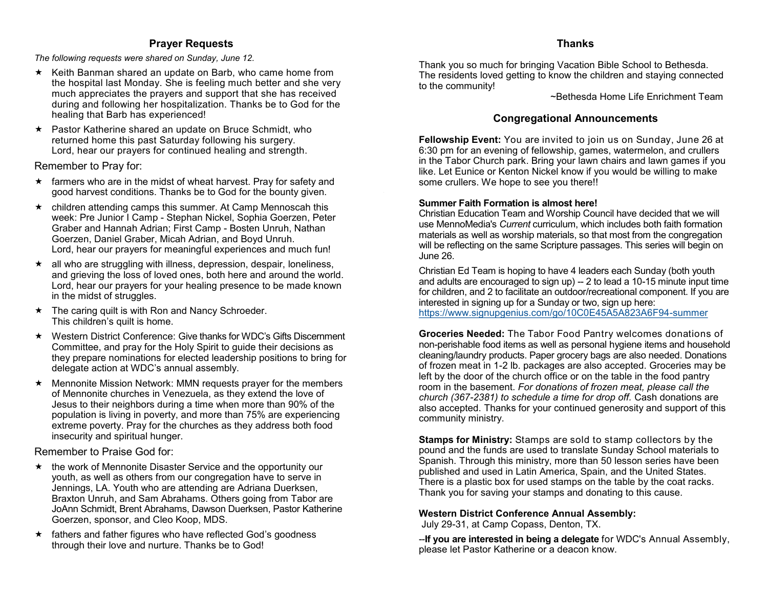## **Prayer Requests**

*The following requests were shared on Sunday, June 12.*

- $\star$  Keith Banman shared an update on Barb, who came home from the hospital last Monday. She is feeling much better and she very much appreciates the prayers and support that she has received during and following her hospitalization. Thanks be to God for the healing that Barb has experienced!
- ★ Pastor Katherine shared an update on Bruce Schmidt, who returned home this past Saturday following his surgery. Lord, hear our prayers for continued healing and strength.

Remember to Pray for:

- $\star$  farmers who are in the midst of wheat harvest. Pray for safety and good harvest conditions. Thanks be to God for the bounty given.
- children attending camps this summer. At Camp Mennoscah this week: Pre Junior I Camp - Stephan Nickel, Sophia Goerzen, Peter Graber and Hannah Adrian; First Camp - Bosten Unruh, Nathan Goerzen, Daniel Graber, Micah Adrian, and Boyd Unruh. Lord, hear our prayers for meaningful experiences and much fun!
- $\star$  all who are struggling with illness, depression, despair, loneliness, and grieving the loss of loved ones, both here and around the world. Lord, hear our prayers for your healing presence to be made known in the midst of struggles.
- $\star$  The caring quilt is with Ron and Nancy Schroeder. This children's quilt is home.
- Western District Conference: Give thanks for WDC's Gifts Discernment Committee, and pray for the Holy Spirit to guide their decisions as they prepare nominations for elected leadership positions to bring for delegate action at WDC's annual assembly.
- Mennonite Mission Network: MMN requests prayer for the members of Mennonite churches in Venezuela, as they extend the love of Jesus to their neighbors during a time when more than 90% of the population is living in poverty, and more than 75% are experiencing extreme poverty. Pray for the churches as they address both food insecurity and spiritual hunger.

Remember to Praise God for:

- $\star$  the work of Mennonite Disaster Service and the opportunity our youth, as well as others from our congregation have to serve in Jennings, LA. Youth who are attending are Adriana Duerksen, Braxton Unruh, and Sam Abrahams. Others going from Tabor are JoAnn Schmidt, Brent Abrahams, Dawson Duerksen, Pastor Katherine Goerzen, sponsor, and Cleo Koop, MDS.
- $\star$  fathers and father figures who have reflected God's goodness through their love and nurture. Thanks be to God!

# **Thanks**

Thank you so much for bringing Vacation Bible School to Bethesda. The residents loved getting to know the children and staying connected to the community!

~Bethesda Home Life Enrichment Team

# **Congregational Announcements**

**Fellowship Event:** You are invited to join us on Sunday, June 26 at 6:30 pm for an evening of fellowship, games, watermelon, and crullers in the Tabor Church park. Bring your lawn chairs and lawn games if you like. Let Eunice or Kenton Nickel know if you would be willing to make some crullers. We hope to see you there!!

## **Summer Faith Formation is almost here!**

Christian Education Team and Worship Council have decided that we will use MennoMedia's *Current* curriculum, which includes both faith formation materials as well as worship materials, so that most from the congregation will be reflecting on the same Scripture passages. This series will begin on June 26.

Christian Ed Team is hoping to have 4 leaders each Sunday (both youth and adults are encouraged to sign up) -- 2 to lead a 10-15 minute input time for children, and 2 to facilitate an outdoor/recreational component. If you are interested in signing up for a Sunday or two, sign up here: [https://www.signupgenius.com/go/10C0E45A5A823A6F94](https://www.signupgenius.com/go/10C0E45A5A823A6F94-summer)-summer

**Groceries Needed:** The Tabor Food Pantry welcomes donations of non-perishable food items as well as personal hygiene items and household cleaning/laundry products. Paper grocery bags are also needed. Donations of frozen meat in 1-2 lb. packages are also accepted. Groceries may be left by the door of the church office or on the table in the food pantry room in the basement. *For donations of frozen meat, please call the church (367-2381) to schedule a time for drop off.* Cash donations are also accepted. Thanks for your continued generosity and support of this community ministry.

**Stamps for Ministry:** Stamps are sold to stamp collectors by the pound and the funds are used to translate Sunday School materials to Spanish. Through this ministry, more than 50 lesson series have been published and used in Latin America, Spain, and the United States. There is a plastic box for used stamps on the table by the coat racks. Thank you for saving your stamps and donating to this cause.

## **Western District Conference Annual Assembly:**

July 29-31, at Camp Copass, Denton, TX.

--**If you are interested in being a delegate** for WDC's Annual Assembly, please let Pastor Katherine or a deacon know.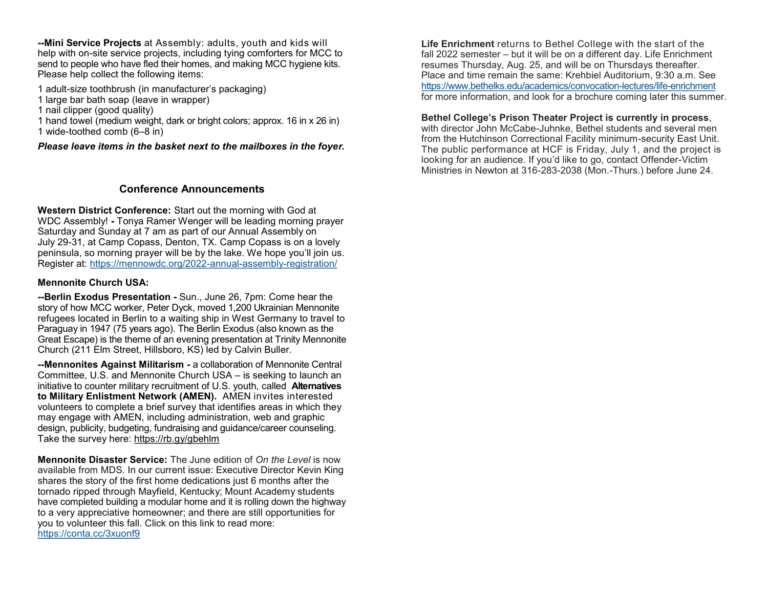**--Mini Service Projects** at Assembly: adults, youth and kids will help with on-site service projects, including tying comforters for MCC to send to people who have fled their homes, and making MCC hygiene kits. Please help collect the following items:

- 1 adult-size toothbrush (in manufacturer's packaging)
- 1 large bar bath soap (leave in wrapper)
- 1 nail clipper (good quality)
- 1 hand towel (medium weight, dark or bright colors; approx. 16 in x 26 in)

1 wide-toothed comb (6–8 in)

#### *Please leave items in the basket next to the mailboxes in the foyer.*

### **Conference Announcements**

**Western District Conference:** Start out the morning with God at WDC Assembly! **-** Tonya Ramer Wenger will be leading morning prayer Saturday and Sunday at 7 am as part of our Annual Assembly on July 29-31, at Camp Copass, Denton, TX. Camp Copass is on a lovely peninsula, so morning prayer will be by the lake. We hope you'll join us. Register at: [https://mennowdc.org/2022](https://mennowdc.us5.list-manage.com/track/click?u=3915f468965d9af14d0f614cb&id=317f9da871&e=58169205e4)-annual-assembly-registration/

#### **Mennonite Church USA:**

**--Berlin Exodus Presentation -** Sun., June 26, 7pm: Come hear the story of how MCC worker, Peter Dyck, moved 1,200 Ukrainian Mennonite refugees located in Berlin to a waiting ship in West Germany to travel to Paraguay in 1947 (75 years ago). The Berlin Exodus (also known as the Great Escape) is the theme of an evening presentation at Trinity Mennonite Church (211 Elm Street, Hillsboro, KS) led by Calvin Buller.

**--Mennonites Against Militarism -** a collaboration of Mennonite Central Committee, U.S. and Mennonite Church USA – is seeking to launch an initiative to counter military recruitment of U.S. youth, called **Alternatives to Military Enlistment Network (AMEN).** AMEN invites interested volunteers to complete a brief survey that identifies areas in which they may engage with AMEN, including administration, web and graphic design, publicity, budgeting, fundraising and guidance/career counseling. Take the survey here: [https://rb.gy/gbehlm](https://mennoniteusa.us1.list-manage.com/track/click?u=97f16d9c230780d6354d01572&id=b98a76ec86&e=b54bf101f8)

**Mennonite Disaster Service:** The June edition of *On the Level* is now available from MDS. In our current issue: Executive Director Kevin King shares the story of the first home dedications just 6 months after the tornado ripped through Mayfield, Kentucky; Mount Academy students have completed building a modular home and it is rolling down the highway to a very appreciative homeowner; and there are still opportunities for you to volunteer this fall. Click on this link to read more: [https://conta.cc/3xuonf9](https://r20.rs6.net/tn.jsp?f=0018iLlDC5RPso2JiI_7PuAdg20ipw0kz37Bsw7lFgrPLTWBWwxFNyzgsJPPV5PMsgOWQ2V-DDs9V07WqpZZcAtDrryUtsqkRA-ZLHzVhYDg7_bqDWkZVz3GTfXnliZJY95c2fskj0AoM6DBZLKOaBXow==&c=uc8QVn1f5aVnTsx9qdk9D7Uvgov2OiMTcg0m-Kb3bVGWFfJzvmSm6A==&ch=O0P2MBEje2Tl)

**Life Enrichment** returns to Bethel College with the start of the fall 2022 semester – but it will be on a different day. Life Enrichment resumes Thursday, Aug. 25, and will be on Thursdays thereafter. Place and time remain the same: Krehbiel Auditorium, 9:30 a.m. See [https://www.bethelks.edu/academics/convocation](https://www.bethelks.edu/academics/convocation-lectures/life-enrichment)-lectures/life-enrichment for more information, and look for a brochure coming later this summer.

#### **Bethel College's Prison Theater Project is currently in process**,

with director John McCabe-Juhnke, Bethel students and several men from the Hutchinson Correctional Facility minimum-security East Unit. The public performance at HCF is Friday, July 1, and the project is looking for an audience. If you'd like to go, contact Offender-Victim Ministries in Newton at 316-283-2038 (Mon.-Thurs.) before June 24.